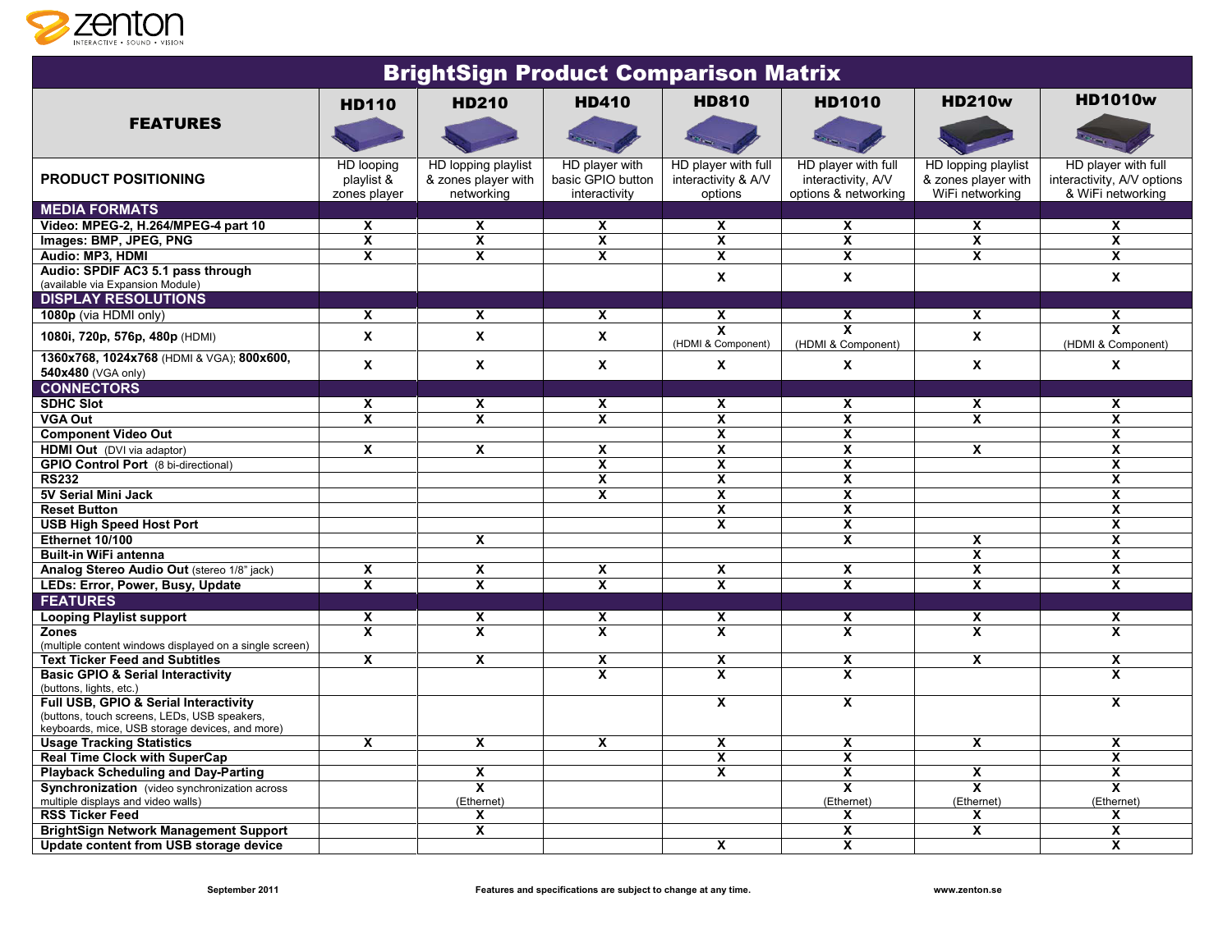

| <b>BrightSign Product Comparison Matrix</b>                                                     |                                          |                                                          |                                                      |                                                       |                                                                   |                                                               |                                                                        |  |  |  |  |
|-------------------------------------------------------------------------------------------------|------------------------------------------|----------------------------------------------------------|------------------------------------------------------|-------------------------------------------------------|-------------------------------------------------------------------|---------------------------------------------------------------|------------------------------------------------------------------------|--|--|--|--|
|                                                                                                 | <b>HD110</b>                             | <b>HD210</b>                                             | <b>HD410</b>                                         | <b>HD810</b>                                          | <b>HD1010</b>                                                     | <b>HD210w</b>                                                 | <b>HD1010w</b>                                                         |  |  |  |  |
| <b>FEATURES</b>                                                                                 |                                          |                                                          |                                                      |                                                       |                                                                   |                                                               |                                                                        |  |  |  |  |
| <b>PRODUCT POSITIONING</b>                                                                      | HD looping<br>playlist &<br>zones player | HD lopping playlist<br>& zones player with<br>networking | HD player with<br>basic GPIO button<br>interactivity | HD player with full<br>interactivity & A/V<br>options | HD player with full<br>interactivity, A/V<br>options & networking | HD lopping playlist<br>& zones player with<br>WiFi networking | HD player with full<br>interactivity, A/V options<br>& WiFi networking |  |  |  |  |
| <b>MEDIA FORMATS</b>                                                                            |                                          |                                                          |                                                      |                                                       |                                                                   |                                                               |                                                                        |  |  |  |  |
| Video: MPEG-2, H.264/MPEG-4 part 10                                                             | X                                        | $\mathbf{x}$                                             | X                                                    | $\mathbf x$                                           | X                                                                 | $\boldsymbol{\mathsf{x}}$                                     | X                                                                      |  |  |  |  |
| Images: BMP, JPEG, PNG                                                                          | $\overline{\mathbf{x}}$                  | $\overline{\mathbf{x}}$                                  | $\overline{\mathbf{x}}$                              | $\overline{\mathbf{x}}$                               | $\overline{\mathbf{x}}$                                           | $\overline{\mathbf{x}}$                                       | $\overline{\mathbf{x}}$                                                |  |  |  |  |
| Audio: MP3, HDMI                                                                                | $\overline{\mathbf{x}}$                  | $\overline{\mathbf{x}}$                                  | $\overline{\mathbf{x}}$                              | $\overline{\mathbf{x}}$                               | $\overline{\mathbf{x}}$                                           | $\overline{\mathbf{x}}$                                       | $\overline{\mathbf{x}}$                                                |  |  |  |  |
| Audio: SPDIF AC3 5.1 pass through<br>(available via Expansion Module)                           |                                          |                                                          |                                                      | $\mathbf{x}$                                          | X                                                                 |                                                               | $\mathbf{x}$                                                           |  |  |  |  |
| <b>DISPLAY RESOLUTIONS</b>                                                                      |                                          |                                                          |                                                      |                                                       |                                                                   |                                                               |                                                                        |  |  |  |  |
| 1080p (via HDMI only)                                                                           | X                                        | $\mathbf{x}$                                             | X                                                    | $\mathbf{x}$                                          | X                                                                 | $\boldsymbol{\mathsf{x}}$                                     | X                                                                      |  |  |  |  |
| 1080i, 720p, 576p, 480p (HDMI)                                                                  | $\pmb{\mathsf{x}}$                       | $\mathbf{x}$                                             | X                                                    | $\overline{\mathbf{x}}$<br>(HDMI & Component)         | $\overline{\mathbf{x}}$<br>(HDMI & Component)                     | $\mathbf{x}$                                                  | $\overline{\mathbf{x}}$<br>(HDMI & Component)                          |  |  |  |  |
| 1360x768, 1024x768 (HDMI & VGA); 800x600,<br>540x480 (VGA only)                                 | $\mathbf{x}$                             | $\boldsymbol{\mathsf{x}}$                                | X                                                    | $\boldsymbol{\mathsf{X}}$                             | $\pmb{\mathsf{x}}$                                                | $\boldsymbol{\mathsf{x}}$                                     | X                                                                      |  |  |  |  |
| <b>CONNECTORS</b>                                                                               |                                          |                                                          |                                                      |                                                       |                                                                   |                                                               |                                                                        |  |  |  |  |
| <b>SDHC Slot</b>                                                                                | $\mathsf{x}$                             | $\mathsf{x}$                                             | X                                                    | $\mathsf{x}$                                          | X                                                                 | $\mathsf{x}$                                                  | $\mathbf{x}$                                                           |  |  |  |  |
| <b>VGA Out</b>                                                                                  | $\overline{\mathbf{x}}$                  | $\overline{\mathbf{x}}$                                  | $\overline{\mathbf{x}}$                              | $\overline{\mathbf{x}}$                               | $\overline{\mathbf{x}}$                                           | $\overline{\mathbf{x}}$                                       | $\overline{\mathbf{x}}$                                                |  |  |  |  |
| <b>Component Video Out</b>                                                                      |                                          |                                                          |                                                      | $\overline{\mathbf{x}}$                               | $\overline{\mathbf{x}}$                                           |                                                               | $\boldsymbol{\mathsf{x}}$                                              |  |  |  |  |
| HDMI Out (DVI via adaptor)                                                                      | X                                        | $\overline{\mathbf{x}}$                                  | X                                                    | $\overline{\mathbf{x}}$                               | $\overline{\mathbf{x}}$                                           | $\overline{\mathbf{x}}$                                       | $\overline{\mathbf{x}}$                                                |  |  |  |  |
| <b>GPIO Control Port</b> (8 bi-directional)                                                     |                                          |                                                          | $\overline{\mathbf{x}}$                              | $\overline{\mathbf{x}}$                               | $\overline{\mathbf{x}}$                                           |                                                               | $\overline{\mathbf{x}}$                                                |  |  |  |  |
| <b>RS232</b>                                                                                    |                                          |                                                          | $\overline{\mathbf{x}}$                              | $\overline{\mathbf{x}}$                               | $\overline{\mathbf{x}}$                                           |                                                               | $\overline{\mathbf{x}}$                                                |  |  |  |  |
| 5V Serial Mini Jack                                                                             |                                          |                                                          | $\overline{\mathbf{x}}$                              | $\overline{\mathbf{x}}$                               | $\overline{\mathbf{x}}$                                           |                                                               | $\overline{\mathbf{x}}$                                                |  |  |  |  |
| <b>Reset Button</b>                                                                             |                                          |                                                          |                                                      | $\overline{\mathbf{x}}$                               | $\overline{\mathbf{x}}$                                           |                                                               | $\overline{\mathbf{x}}$                                                |  |  |  |  |
| <b>USB High Speed Host Port</b>                                                                 |                                          |                                                          |                                                      | X                                                     | X                                                                 |                                                               | X                                                                      |  |  |  |  |
| Ethernet 10/100                                                                                 |                                          | $\mathbf{x}$                                             |                                                      |                                                       | $\overline{\mathbf{x}}$                                           | X                                                             | $\overline{\mathbf{x}}$                                                |  |  |  |  |
| <b>Built-in WiFi antenna</b>                                                                    |                                          |                                                          |                                                      |                                                       |                                                                   | $\overline{\mathbf{x}}$                                       | $\overline{\mathbf{x}}$                                                |  |  |  |  |
| Analog Stereo Audio Out (stereo 1/8" jack)                                                      | X                                        | $\overline{\mathbf{x}}$                                  | $\overline{\mathbf{x}}$                              | $\overline{\mathbf{x}}$                               | $\overline{\mathbf{x}}$                                           | $\overline{\mathbf{x}}$                                       | $\overline{\mathbf{x}}$                                                |  |  |  |  |
| LEDs: Error, Power, Busy, Update                                                                | $\overline{\mathbf{x}}$                  | $\overline{\mathbf{x}}$                                  | $\overline{\mathbf{x}}$                              | $\overline{\mathbf{x}}$                               | $\overline{\mathbf{x}}$                                           | $\overline{\mathbf{x}}$                                       | $\overline{\mathbf{x}}$                                                |  |  |  |  |
| <b>FEATURES</b>                                                                                 |                                          |                                                          |                                                      |                                                       |                                                                   |                                                               |                                                                        |  |  |  |  |
| <b>Looping Playlist support</b>                                                                 | $\boldsymbol{\mathsf{x}}$                | X                                                        | X                                                    | $\mathbf{x}$                                          | X                                                                 | X                                                             | X                                                                      |  |  |  |  |
| <b>Zones</b>                                                                                    | $\overline{\mathbf{x}}$                  | $\mathbf{x}$                                             | $\mathbf{x}$                                         | X                                                     | X                                                                 | $\mathbf{x}$                                                  | $\boldsymbol{\mathsf{x}}$                                              |  |  |  |  |
| (multiple content windows displayed on a single screen)                                         |                                          |                                                          |                                                      |                                                       |                                                                   |                                                               |                                                                        |  |  |  |  |
| <b>Text Ticker Feed and Subtitles</b>                                                           | $\mathbf{x}$                             | $\mathsf{x}$                                             | X                                                    | $\mathbf{x}$                                          | X                                                                 | $\mathsf{x}$                                                  | X                                                                      |  |  |  |  |
| <b>Basic GPIO &amp; Serial Interactivity</b>                                                    |                                          |                                                          | $\overline{\mathbf{x}}$                              | $\overline{\mathbf{x}}$                               | $\overline{\mathbf{x}}$                                           |                                                               | $\overline{\mathbf{x}}$                                                |  |  |  |  |
| (buttons, lights, etc.)<br>Full USB, GPIO & Serial Interactivity                                |                                          |                                                          |                                                      | $\mathbf{x}$                                          | $\overline{\mathbf{x}}$                                           |                                                               | $\mathsf{x}$                                                           |  |  |  |  |
| (buttons, touch screens, LEDs, USB speakers,<br>keyboards, mice, USB storage devices, and more) |                                          |                                                          |                                                      |                                                       |                                                                   |                                                               |                                                                        |  |  |  |  |
| <b>Usage Tracking Statistics</b>                                                                | X                                        | $\overline{\mathbf{x}}$                                  | Χ                                                    | $\overline{\mathbf{x}}$                               | $\overline{\mathbf{x}}$                                           | $\boldsymbol{\mathsf{x}}$                                     | X                                                                      |  |  |  |  |
| <b>Real Time Clock with SuperCap</b>                                                            |                                          |                                                          |                                                      | X                                                     | X                                                                 |                                                               | $\boldsymbol{\mathsf{x}}$                                              |  |  |  |  |
| <b>Playback Scheduling and Day-Parting</b>                                                      |                                          | X                                                        |                                                      | X                                                     | X                                                                 | X                                                             | $\overline{\mathbf{x}}$                                                |  |  |  |  |
| Synchronization (video synchronization across                                                   |                                          | $\overline{\mathbf{x}}$                                  |                                                      |                                                       | $\overline{\mathbf{x}}$                                           | $\overline{\mathbf{x}}$                                       | $\overline{\mathbf{x}}$                                                |  |  |  |  |
| multiple displays and video walls)                                                              |                                          | (Ethernet)                                               |                                                      |                                                       | (Ethernet)                                                        | (Ethernet)                                                    | (Ethernet)                                                             |  |  |  |  |
| <b>RSS Ticker Feed</b>                                                                          |                                          | X                                                        |                                                      |                                                       | $\overline{\mathbf{x}}$                                           | X                                                             | $\boldsymbol{\mathsf{x}}$                                              |  |  |  |  |
| <b>BrightSign Network Management Support</b>                                                    |                                          | $\overline{\mathbf{x}}$                                  |                                                      |                                                       | $\overline{\mathbf{x}}$                                           | $\overline{\mathbf{x}}$                                       | $\overline{\mathbf{x}}$                                                |  |  |  |  |
| Update content from USB storage device                                                          |                                          |                                                          |                                                      | $\overline{\mathbf{x}}$                               | $\overline{\mathbf{x}}$                                           |                                                               | $\overline{\mathbf{x}}$                                                |  |  |  |  |